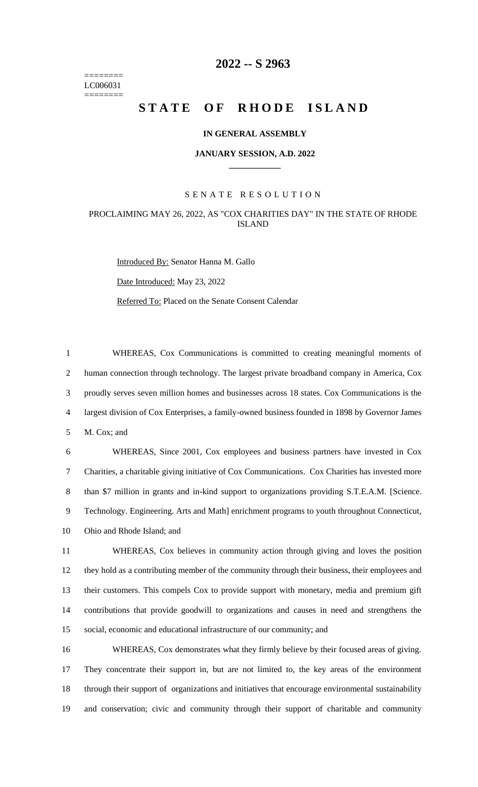======== LC006031 ========

# **-- S 2963**

# **STATE OF RHODE ISLAND**

### **IN GENERAL ASSEMBLY**

#### **JANUARY SESSION, A.D. 2022 \_\_\_\_\_\_\_\_\_\_\_\_**

## S E N A T E R E S O L U T I O N

## PROCLAIMING MAY 26, 2022, AS "COX CHARITIES DAY" IN THE STATE OF RHODE ISLAND

Introduced By: Senator Hanna M. Gallo Date Introduced: May 23, 2022 Referred To: Placed on the Senate Consent Calendar

 WHEREAS, Cox Communications is committed to creating meaningful moments of human connection through technology. The largest private broadband company in America, Cox proudly serves seven million homes and businesses across 18 states. Cox Communications is the largest division of Cox Enterprises, a family-owned business founded in 1898 by Governor James M. Cox; and

 WHEREAS, Since 2001, Cox employees and business partners have invested in Cox Charities, a charitable giving initiative of Cox Communications. Cox Charities has invested more than \$7 million in grants and in-kind support to organizations providing S.T.E.A.M. [Science. Technology. Engineering. Arts and Math] enrichment programs to youth throughout Connecticut, Ohio and Rhode Island; and

 WHEREAS, Cox believes in community action through giving and loves the position they hold as a contributing member of the community through their business, their employees and their customers. This compels Cox to provide support with monetary, media and premium gift contributions that provide goodwill to organizations and causes in need and strengthens the social, economic and educational infrastructure of our community; and

 WHEREAS, Cox demonstrates what they firmly believe by their focused areas of giving. They concentrate their support in, but are not limited to, the key areas of the environment through their support of organizations and initiatives that encourage environmental sustainability and conservation; civic and community through their support of charitable and community